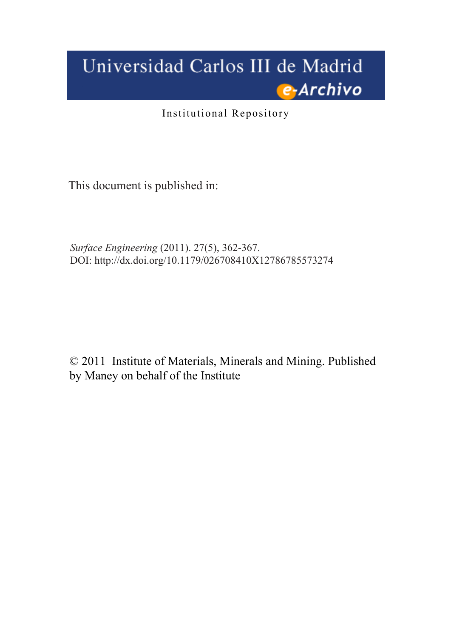# Universidad Carlos III de Madrid e-Archivo

Institutional Repository

This document is published in:

*Surface Engineering* (2011). 27(5), 362-367. DOI:<http://dx.doi.org/10.1179/026708410X12786785573274>

© 2011 Institute of Materials, Minerals and Mining. Published by Maney on behalf of the Institute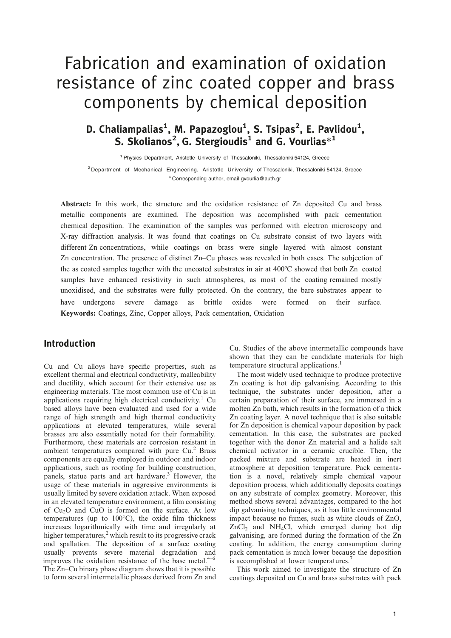# Fabrication and examination of oxidation resistance of zinc coated copper and brass components by chemical deposition

# D. Chaliampalias<sup>1</sup>, M. Papazoglou<sup>1</sup>, S. Tsipas<sup>2</sup>, E. Pavlidou<sup>1</sup>, S. Skolianos<sup>2</sup>, G. Stergioudis<sup>1</sup> and G. Vourlias<sup>\*1</sup>

<sup>1</sup> Physics Department, Aristotle University of Thessaloniki, Thessaloniki 54124, Greece <sup>2</sup> Department of Mechanical Engineering, Aristotle University of Thessaloniki, Thessaloniki 54124, Greece \* Corresponding author, email gvourlia@auth.gr

**Abstract:** In this work, the structure and the oxidation resistance of Zn deposited Cu and brass metallic components are examined. The deposition was accomplished with pack cementation chemical deposition. The examination of the samples was performed with electron microscopy and X-ray diffraction analysis. It was found that coatings on Cu substrate consist of two layers with different Zn concentrations, while coatings on brass were single layered with almost constant Zn concentration. The presence of distinct Zn–Cu phases was revealed in both cases. The subjection of the as coated samples together with the uncoated substrates in air at 400ºC showed that both Zn coated samples have enhanced resistivity in such atmospheres, as most of the coating remained mostly unoxidised, and the substrates were fully protected. On the contrary, the bare substrates appear to have undergone severe damage as brittle oxides were formed on their surface. **Keywords:** Coatings, Zinc, Copper alloys, Pack cementation, Oxidation

# Introduction

Cu and Cu alloys have specific properties, such as excellent thermal and electrical conductivity, malleability and ductility, which account for their extensive use as engineering materials. The most common use of Cu is in applications requiring high electrical conductivity.<sup>1</sup> Cu based alloys have been evaluated and used for a wide range of high strength and high thermal conductivity applications at elevated temperatures, while several brasses are also essentially noted for their formability. Furthermore, these materials are corrosion resistant in ambient temperatures compared with pure Cu.<sup>2</sup> Brass components are equally employed in outdoor and indoor applications, such as roofing for building construction, panels, statue parts and art hardware.<sup>3</sup> However, the usage of these materials in aggressive environments is usually limited by severe oxidation attack. When exposed in an elevated temperature environment, a film consisting of Cu<sub>2</sub>O and CuO is formed on the surface. At low temperatures (up to  $100^{\circ}$ C), the oxide film thickness increases logarithmically with time and irregularly at higher temperatures, $\frac{2}{3}$  which result to its progressive crack and spallation. The deposition of a surface coating usually prevents severe material degradation and improves the oxidation resistance of the base metal. $4-6$ The Zn–Cu binary phase diagram shows that it is possible to form several intermetallic phases derived from Zn and Cu. Studies of the above intermetallic compounds have shown that they can be candidate materials for high temperature structural applications.<sup>1</sup>

The most widely used technique to produce protective Zn coating is hot dip galvanising. According to this technique, the substrates under deposition, after a certain preparation of their surface, are immersed in a molten Zn bath, which results in the formation of a thick Zn coating layer. A novel technique that is also suitable for Zn deposition is chemical vapour deposition by pack cementation. In this case, the substrates are packed together with the donor Zn material and a halide salt chemical activator in a ceramic crucible. Then, the packed mixture and substrate are heated in inert atmosphere at deposition temperature. Pack cementation is a novel, relatively simple chemical vapour deposition process, which additionally deposits coatings on any substrate of complex geometry. Moreover, this method shows several advantages, compared to the hot dip galvanising techniques, as it has little environmental impact because no fumes, such as white clouds of ZnO,  $ZnCl<sub>2</sub>$  and NH<sub>4</sub>Cl, which emerged during hot dip galvanising, are formed during the formation of the Zn coating. In addition, the energy consumption during pack cementation is much lower because the deposition is accomplished at lower temperatures.<sup>7</sup>

This work aimed to investigate the structure of Zn coatings deposited on Cu and brass substrates with pack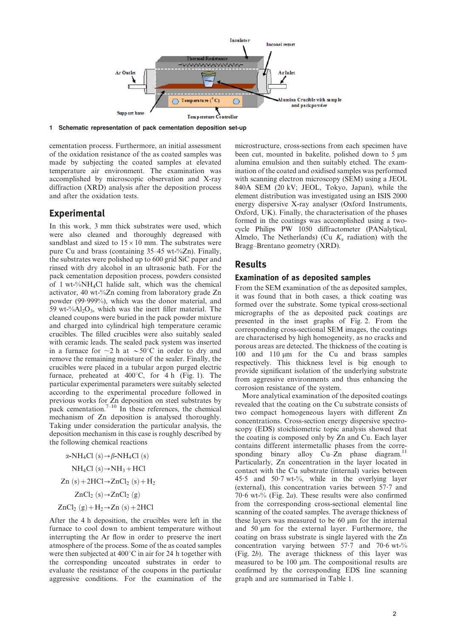

1 Schematic representation of pack cementation deposition set-up

cementation process. Furthermore, an initial assessment of the oxidation resistance of the as coated samples was made by subjecting the coated samples at elevated temperature air environment. The examination was accomplished by microscopic observation and X-ray diffraction (XRD) analysis after the deposition process and after the oxidation tests.

# **Experimental**

In this work, 3 mm thick substrates were used, which were also cleaned and thoroughly degreased with sandblast and sized to  $15 \times 10$  mm. The substrates were pure Cu and brass (containing 35–45 wt-%Zn). Finally, the substrates were polished up to 600 grid SiC paper and rinsed with dry alcohol in an ultrasonic bath. For the pack cementation deposition process, powders consisted of 1 wt-%NH4Cl halide salt, which was the chemical activator, 40 wt-%Zn coming from laboratory grade Zn powder (99.999%), which was the donor material, and 59 wt-% $Al_2O_3$ , which was the inert filler material. The cleaned coupons were buried in the pack powder mixture and charged into cylindrical high temperature ceramic crucibles. The filled crucibles were also suitably sealed with ceramic leads. The sealed pack system was inserted in a furnace for  $\sim$ 2 h at  $\sim$  50°C in order to dry and remove the remaining moisture of the sealer. Finally, the crucibles were placed in a tubular argon purged electric furnace, preheated at  $400^{\circ}$ C, for 4 h (Fig. 1). The particular experimental parameters were suitably selected according to the experimental procedure followed in previous works for Zn deposition on steel substrates by pack cementation.<sup>7-10</sup> In these references, the chemical mechanism of Zn deposition is analysed thoroughly. Taking under consideration the particular analysis, the deposition mechanism in this case is roughly described by the following chemical reactions

$$
\alpha\text{-}NH_4\text{Cl}(s) \rightarrow \beta\text{-}NH_4\text{Cl}(s)
$$
\n
$$
\text{NH}_4\text{Cl}(s) \rightarrow \text{NH}_3 + \text{HCl}
$$
\n
$$
\text{Zn}(s) + 2\text{HCl} \rightarrow \text{ZnCl}_2(s) + \text{H}_2
$$
\n
$$
\text{ZnCl}_2(s) \rightarrow \text{ZnCl}_2(g)
$$
\n
$$
\text{ZnCl}_2(g) + \text{H}_2 \rightarrow \text{Zn}(s) + 2\text{HCl}
$$

After the 4 h deposition, the crucibles were left in the furnace to cool down to ambient temperature without interrupting the Ar flow in order to preserve the inert atmosphere of the process. Some of the as coated samples were then subjected at  $400^{\circ}$ C in air for 24 h together with the corresponding uncoated substrates in order to evaluate the resistance of the coupons in the particular aggressive conditions. For the examination of the

microstructure, cross-sections from each specimen have been cut, mounted in bakelite, polished down to  $5 \mu m$ alumina emulsion and then suitably etched. The examination of the coated and oxidised samples was performed with scanning electron microscopy (SEM) using a JEOL 840A SEM (20 kV; JEOL, Tokyo, Japan), while the element distribution was investigated using an ISIS 2000 energy dispersive X-ray analyser (Oxford Instruments, Oxford, UK). Finally, the characterisation of the phases formed in the coatings was accomplished using a twocycle Philips PW 1050 diffractometer (PANalytical, Almelo, The Netherlands) (Cu  $K_{\alpha}$  radiation) with the Bragg–Brentano geometry (XRD).

# Results

#### Examination of as deposited samples

From the SEM examination of the as deposited samples, it was found that in both cases, a thick coating was formed over the substrate. Some typical cross-sectional micrographs of the as deposited pack coatings are presented in the inset graphs of Fig. 2. From the corresponding cross-sectional SEM images, the coatings are characterised by high homogeneity, as no cracks and porous areas are detected. The thickness of the coating is 100 and 110 μm for the Cu and brass samples respectively. This thickness level is big enough to provide significant isolation of the underlying substrate from aggressive environments and thus enhancing the corrosion resistance of the system.

More analytical examination of the deposited coatings revealed that the coating on the Cu substrate consists of two compact homogeneous layers with different Zn concentrations. Cross-section energy dispersive spectroscopy (EDS) stoichiometric topic analysis showed that the coating is composed only by Zn and Cu. Each layer contains different intermetallic phases from the corresponding binary alloy  $Cu-\hat{Z}n$  phase diagram.<sup>11</sup> Particularly, Zn concentration in the layer located in contact with the Cu substrate (internal) varies between 45.5 and 50.7 wt-%, while in the overlying layer (external), this concentration varies between  $57.7$  and 70 $\cdot$ 6 wt- $\%$  (Fig. 2*a*). These results were also confirmed from the corresponding cross-sectional elemental line scanning of the coated samples. The average thickness of these layers was measured to be  $60 \mu m$  for the internal and 50  $\mu$ m for the external layer. Furthermore, the coating on brass substrate is single layered with the Zn concentration varying between  $57.7$  and  $70.6$  wt-% (Fig. 2b). The average thickness of this layer was measured to be 100 µm. The compositional results are confirmed by the corresponding EDS line scanning graph and are summarised in Table 1.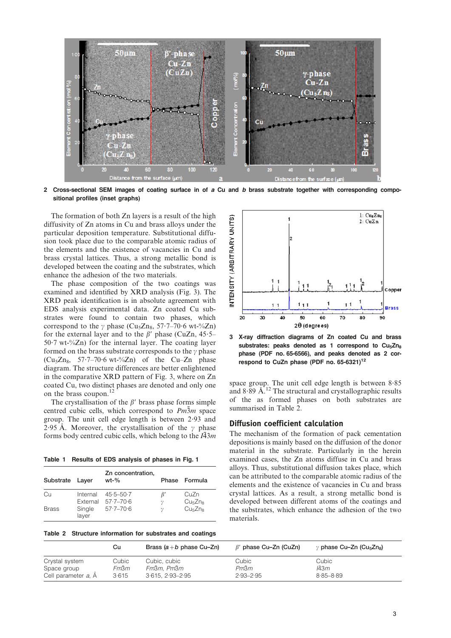

2 Cross-sectional SEM images of coating surface in of a Cu and b brass substrate together with corresponding compositional profiles (inset graphs)

The formation of both Zn layers is a result of the high diffusivity of Zn atoms in Cu and brass alloys under the particular deposition temperature. Substitutional diffusion took place due to the comparable atomic radius of the elements and the existence of vacancies in Cu and brass crystal lattices. Thus, a strong metallic bond is developed between the coating and the substrates, which enhance the adhesion of the two materials.

The phase composition of the two coatings was examined and identified by XRD analysis (Fig. 3). The XRD peak identification is in absolute agreement with EDS analysis experimental data. Zn coated Cu substrates were found to contain two phases, which correspond to the  $\gamma$  phase (Cu<sub>5</sub>Zn<sub>8</sub>, 57.7–70.6 wt-%Zn) for the external layer and to the  $\beta'$  phase (CuZn, 45.5– 50.7 wt-%Zn) for the internal layer. The coating layer formed on the brass substrate corresponds to the  $\gamma$  phase  $(Cu_5Zn_8$ , 57.7–70.6 wt-%Zn) of the Cu–Zn phase diagram. The structure differences are better enlightened in the comparative XRD pattern of Fig. 3, where on Zn coated Cu, two distinct phases are denoted and only one on the brass coupon.<sup>12</sup>

The crystallisation of the  $\beta'$  brass phase forms simple centred cubic cells, which correspond to  $Pm\overline{3}m$  space group. The unit cell edge length is between 2?93 and 2.95 Å. Moreover, the crystallisation of the  $\gamma$  phase forms body centred cubic cells, which belong to the  $I\bar{4}3m$ 

Table 1 Results of EDS analysis of phases in Fig. 1

| Substrate Layer |          | Zn concentration,<br>$wt-$ % | Phase | Formula                             |
|-----------------|----------|------------------------------|-------|-------------------------------------|
| Cu              | Internal | $45.5 - 50.7$                | ß'    | CuZn                                |
|                 | External | $57.7 - 70.6$                | ν     | Cu <sub>5</sub> Zn <sub>8</sub>     |
| <b>Brass</b>    | Single   | $57.7 - 70.6$                | ν     | <b>Cu<sub>5</sub>Zn<sub>8</sub></b> |
|                 | layer    |                              |       |                                     |



3 X-ray diffraction diagrams of Zn coated Cu and brass substrates: peaks denoted as 1 correspond to  $Cu<sub>5</sub>Zn<sub>8</sub>$ phase (PDF no. 65-6566), and peaks denoted as 2 correspond to CuZn phase (PDF no.  $65-6321$ )<sup>12</sup>

space group. The unit cell edge length is between 8?85 and  $8.89$  Å.<sup>12</sup> The structural and crystallographic results of the as formed phases on both substrates are summarised in Table 2.

#### Diffusion coefficient calculation

The mechanism of the formation of pack cementation depositions is mainly based on the diffusion of the donor material in the substrate. Particularly in the herein examined cases, the Zn atoms diffuse in Cu and brass alloys. Thus, substitutional diffusion takes place, which can be attributed to the comparable atomic radius of the elements and the existence of vacancies in Cu and brass crystal lattices. As a result, a strong metallic bond is developed between different atoms of the coatings and the substrates, which enhance the adhesion of the two materials.

Table 2 Structure information for substrates and coatings

|                     | Сu    | Brass $(a+b)$ phase Cu-Zn) | $\beta'$ phase Cu-Zn (CuZn) | $\gamma$ phase Cu–Zn (Cu <sub>5</sub> Zn <sub>8</sub> ) |
|---------------------|-------|----------------------------|-----------------------------|---------------------------------------------------------|
| Crystal system      | Cubic | Cubic, cubic               | Cubic                       | Cubic                                                   |
| Space group         | Fm3m  | Fm3m. Pm3m                 | Pm3m                        | 143m                                                    |
| Cell parameter a, A | 3.615 | 3.615, 2.93–2.95           | $2.93 - 2.95$               | $8.85 - 8.89$                                           |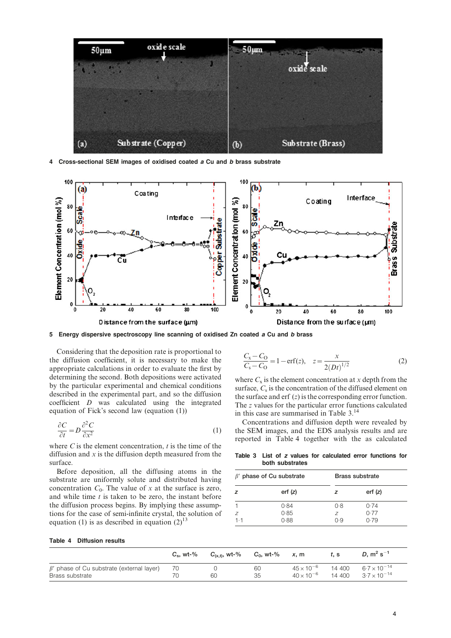

4 Cross-sectional SEM images of oxidised coated a Cu and b brass substrate



5 Energy dispersive spectroscopy line scanning of oxidised Zn coated a Cu and b brass

Considering that the deposition rate is proportional to the diffusion coefficient, it is necessary to make the appropriate calculations in order to evaluate the first by determining the second. Both depositions were activated by the particular experimental and chemical conditions described in the experimental part, and so the diffusion coefficient D was calculated using the integrated equation of Fick's second law (equation (1))

$$
\frac{\partial C}{\partial t} = D \frac{\partial^2 C}{\partial x^2} \tag{1}
$$

where  $C$  is the element concentration,  $t$  is the time of the diffusion and  $x$  is the diffusion depth measured from the surface.

Before deposition, all the diffusing atoms in the substrate are uniformly solute and distributed having concentration  $C_0$ . The value of x at the surface is zero, and while time  $t$  is taken to be zero, the instant before the diffusion process begins. By implying these assumptions for the case of semi-infinite crystal, the solution of equation (1) is as described in equation  $(2)^{13}$ 

$$
\frac{C_x - C_0}{C_s - C_0} = 1 - \text{erf}(z), \quad z = \frac{x}{2(Dt)^{1/2}}
$$
(2)

where  $C_x$  is the element concentration at x depth from the surface,  $C_s$  is the concentration of the diffused element on the surface and  $erf(z)$  is the corresponding error function. The z values for the particular error functions calculated in this case are summarised in Table 3.14

Concentrations and diffusion depth were revealed by the SEM images, and the EDS analysis results and are reported in Table 4 together with the as calculated

Table 3 List of z values for calculated error functions for both substrates

| $\beta'$ | phase of Cu substrate |                | <b>Brass substrate</b> |  |
|----------|-----------------------|----------------|------------------------|--|
|          | erf $(z)$             | z              | erf(z)                 |  |
|          | 0.84                  | 0.8            | 0.74                   |  |
|          | 0.85                  | $\overline{z}$ | 0.77                   |  |
| 1.1      | 0.88                  | ი 9            | 0.79                   |  |

#### Table 4 Diffusion results

|                                                 | $C_\circ$ , wt-% | $C_{(x,t)}, \text{ wt-}\%$ | $C_0$ , wt-% | x, m                | t.s    | D, $m^2 s^{-1}$                |
|-------------------------------------------------|------------------|----------------------------|--------------|---------------------|--------|--------------------------------|
| $\beta'$ phase of Cu substrate (external layer) | 70               | 60                         | 60           | $45 \times 10^{-6}$ | 14 400 | 6.7 $\times$ 10 <sup>-14</sup> |
| Brass substrate                                 | 70               |                            | 35           | $40 \times 10^{-6}$ | 14 400 | $3.7 \times 10^{-14}$          |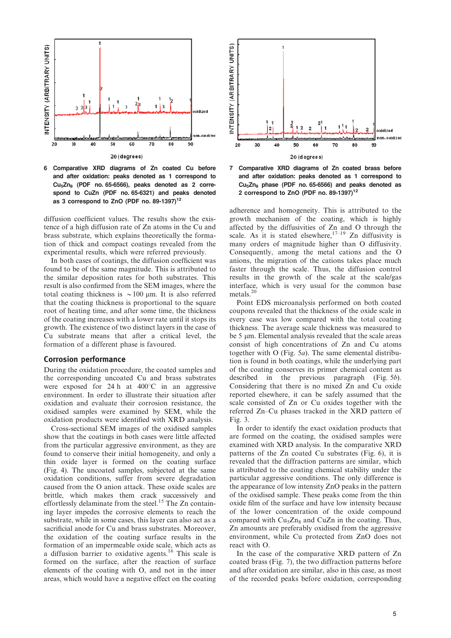

6 Comparative XRD diagrams of Zn coated Cu before and after oxidation: peaks denoted as 1 correspond to  $Cu<sub>5</sub>Zn<sub>8</sub>$  (PDF no. 65-6566), peaks denoted as 2 correspond to CuZn (PDF no. 65-6321) and peaks denoted as 3 correspond to ZnO (PDF no. 89-1397) $12$ 

diffusion coefficient values. The results show the existence of a high diffusion rate of Zn atoms in the Cu and brass substrate, which explains theoretically the formation of thick and compact coatings revealed from the experimental results, which were referred previously.

In both cases of coatings, the diffusion coefficient was found to be of the same magnitude. This is attributed to the similar deposition rates for both substrates. This result is also confirmed from the SEM images, where the total coating thickness is  $\sim$  100 µm. It is also referred that the coating thickness is proportional to the square root of heating time, and after some time, the thickness of the coating increases with a lower rate until it stops its growth. The existence of two distinct layers in the case of Cu substrate means that after a critical level, the formation of a different phase is favoured.

#### Corrosion performance

During the oxidation procedure, the coated samples and the corresponding uncoated Cu and brass substrates were exposed for 24 h at  $400^{\circ}$ C in an aggressive environment. In order to illustrate their situation after oxidation and evaluate their corrosion resistance, the oxidised samples were examined by SEM, while the oxidation products were identified with XRD analysis.

Cross-sectional SEM images of the oxidised samples show that the coatings in both cases were little affected from the particular aggressive environment, as they are found to conserve their initial homogeneity, and only a thin oxide layer is formed on the coating surface (Fig. 4). The uncoated samples, subjected at the same oxidation conditions, suffer from severe degradation caused from the O anion attack. These oxide scales are brittle, which makes them crack successively and effortlessly delaminate from the steel.<sup>15</sup> The Zn containing layer impedes the corrosive elements to reach the substrate, while in some cases, this layer can also act as a sacrificial anode for Cu and brass substrates. Moreover, the oxidation of the coating surface results in the formation of an impermeable oxide scale, which acts as a diffusion barrier to oxidative agents.<sup>16</sup> This scale is formed on the surface, after the reaction of surface elements of the coating with O, and not in the inner areas, which would have a negative effect on the coating





adherence and homogeneity. This is attributed to the growth mechanism of the coating, which is highly affected by the diffusivities of Zn and O through the scale. As it is stated elsewhere,  $17-19$  Zn diffusivity is many orders of magnitude higher than O diffusivity. Consequently, among the metal cations and the O anions, the migration of the cations takes place much faster through the scale. Thus, the diffusion control results in the growth of the scale at the scale/gas interface, which is very usual for the common base metals.<sup>20</sup>

Point EDS microanalysis performed on both coated coupons revealed that the thickness of the oxide scale in every case was low compared with the total coating thickness. The average scale thickness was measured to be  $5 \mu m$ . Elemental analysis revealed that the scale areas consist of high concentrations of Zn and Cu atoms together with O (Fig.  $5a$ ). The same elemental distribution is found in both coatings, while the underlying part of the coating conserves its primer chemical content as described in the previous paragraph (Fig. 5b). Considering that there is no mixed Zn and Cu oxide reported elsewhere, it can be safely assumed that the scale consisted of Zn or Cu oxides together with the referred Zn–Cu phases tracked in the XRD pattern of Fig. 3.

In order to identify the exact oxidation products that are formed on the coating, the oxidised samples were examined with XRD analysis. In the comparative XRD patterns of the Zn coated Cu substrates (Fig. 6), it is revealed that the diffraction patterns are similar, which is attributed to the coating chemical stability under the particular aggressive conditions. The only difference is the appearance of low intensity ZnO peaks in the pattern of the oxidised sample. These peaks come from the thin oxide film of the surface and have low intensity because of the lower concentration of the oxide compound compared with  $Cu<sub>5</sub>Zn<sub>8</sub>$  and CuZn in the coating. Thus, Zn amounts are preferably oxidised from the aggressive environment, while Cu protected from ZnO does not react with O.

In the case of the comparative XRD pattern of Zn coated brass (Fig. 7), the two diffraction patterns before and after oxidation are similar, also in this case, as most of the recorded peaks before oxidation, corresponding